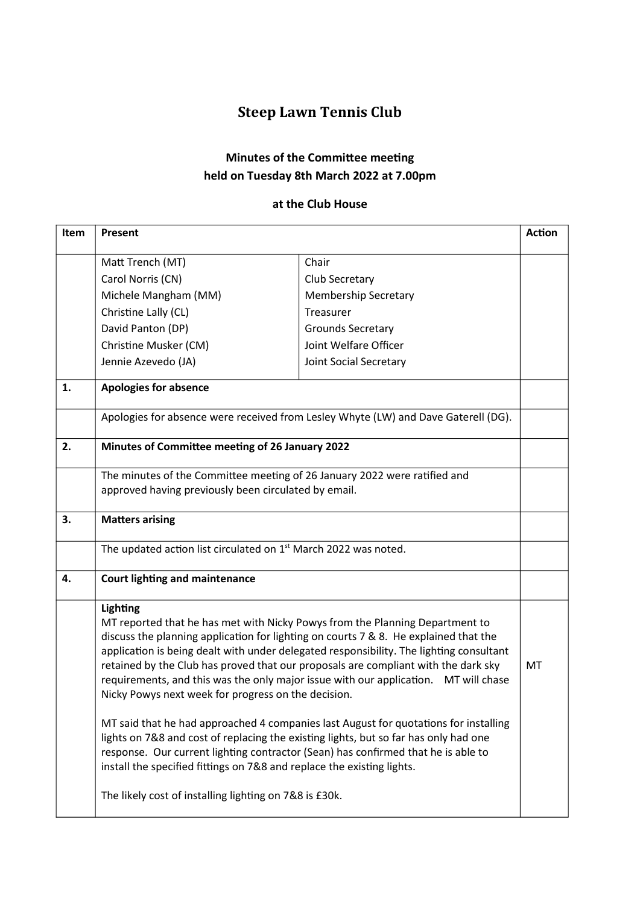## Steep Lawn Tennis Club

## Minutes of the Committee meeting held on Tuesday 8th March 2022 at 7.00pm

## at the Club House

| Item | <b>Present</b>                                                                                                                                                                                                                                                                                                                                                                                                                                                                                                                                                                                          |                             | <b>Action</b> |
|------|---------------------------------------------------------------------------------------------------------------------------------------------------------------------------------------------------------------------------------------------------------------------------------------------------------------------------------------------------------------------------------------------------------------------------------------------------------------------------------------------------------------------------------------------------------------------------------------------------------|-----------------------------|---------------|
|      | Matt Trench (MT)                                                                                                                                                                                                                                                                                                                                                                                                                                                                                                                                                                                        | Chair                       |               |
|      | Carol Norris (CN)                                                                                                                                                                                                                                                                                                                                                                                                                                                                                                                                                                                       | Club Secretary              |               |
|      | Michele Mangham (MM)                                                                                                                                                                                                                                                                                                                                                                                                                                                                                                                                                                                    | <b>Membership Secretary</b> |               |
|      | Christine Lally (CL)                                                                                                                                                                                                                                                                                                                                                                                                                                                                                                                                                                                    | Treasurer                   |               |
|      | David Panton (DP)                                                                                                                                                                                                                                                                                                                                                                                                                                                                                                                                                                                       | Grounds Secretary           |               |
|      | Christine Musker (CM)                                                                                                                                                                                                                                                                                                                                                                                                                                                                                                                                                                                   | Joint Welfare Officer       |               |
|      | Jennie Azevedo (JA)                                                                                                                                                                                                                                                                                                                                                                                                                                                                                                                                                                                     | Joint Social Secretary      |               |
| 1.   | <b>Apologies for absence</b>                                                                                                                                                                                                                                                                                                                                                                                                                                                                                                                                                                            |                             |               |
|      | Apologies for absence were received from Lesley Whyte (LW) and Dave Gaterell (DG).                                                                                                                                                                                                                                                                                                                                                                                                                                                                                                                      |                             |               |
| 2.   | Minutes of Committee meeting of 26 January 2022                                                                                                                                                                                                                                                                                                                                                                                                                                                                                                                                                         |                             |               |
|      | The minutes of the Committee meeting of 26 January 2022 were ratified and<br>approved having previously been circulated by email.                                                                                                                                                                                                                                                                                                                                                                                                                                                                       |                             |               |
| 3.   | <b>Matters arising</b>                                                                                                                                                                                                                                                                                                                                                                                                                                                                                                                                                                                  |                             |               |
|      | The updated action list circulated on 1 <sup>st</sup> March 2022 was noted.                                                                                                                                                                                                                                                                                                                                                                                                                                                                                                                             |                             |               |
| 4.   | <b>Court lighting and maintenance</b>                                                                                                                                                                                                                                                                                                                                                                                                                                                                                                                                                                   |                             |               |
|      | Lighting<br>MT reported that he has met with Nicky Powys from the Planning Department to<br>discuss the planning application for lighting on courts 7 & 8. He explained that the<br>application is being dealt with under delegated responsibility. The lighting consultant<br>retained by the Club has proved that our proposals are compliant with the dark sky<br>requirements, and this was the only major issue with our application. MT will chase<br>Nicky Powys next week for progress on the decision.<br>MT said that he had approached 4 companies last August for quotations for installing |                             | MT            |
|      | lights on 7&8 and cost of replacing the existing lights, but so far has only had one<br>response. Our current lighting contractor (Sean) has confirmed that he is able to<br>install the specified fittings on 7&8 and replace the existing lights.                                                                                                                                                                                                                                                                                                                                                     |                             |               |
|      | The likely cost of installing lighting on 7&8 is £30k.                                                                                                                                                                                                                                                                                                                                                                                                                                                                                                                                                  |                             |               |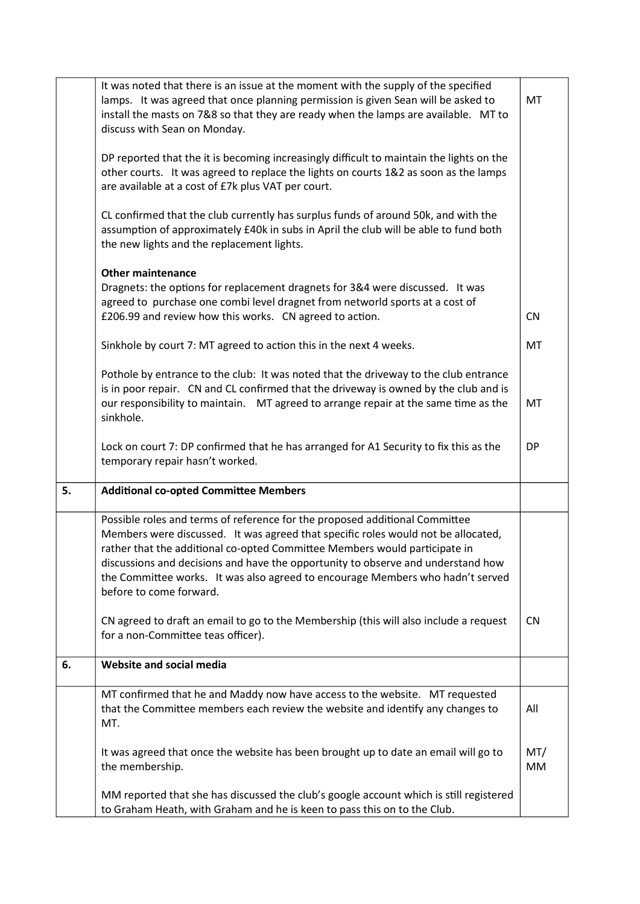|    | It was noted that there is an issue at the moment with the supply of the specified<br>lamps. It was agreed that once planning permission is given Sean will be asked to<br>install the masts on 7&8 so that they are ready when the lamps are available. MT to<br>discuss with Sean on Monday.                                                                                                                                                  |           |  |
|----|-------------------------------------------------------------------------------------------------------------------------------------------------------------------------------------------------------------------------------------------------------------------------------------------------------------------------------------------------------------------------------------------------------------------------------------------------|-----------|--|
|    | DP reported that the it is becoming increasingly difficult to maintain the lights on the<br>other courts. It was agreed to replace the lights on courts 1&2 as soon as the lamps<br>are available at a cost of £7k plus VAT per court.                                                                                                                                                                                                          |           |  |
|    | CL confirmed that the club currently has surplus funds of around 50k, and with the<br>assumption of approximately £40k in subs in April the club will be able to fund both<br>the new lights and the replacement lights.                                                                                                                                                                                                                        |           |  |
|    | <b>Other maintenance</b>                                                                                                                                                                                                                                                                                                                                                                                                                        |           |  |
|    | Dragnets: the options for replacement dragnets for 3&4 were discussed. It was<br>agreed to purchase one combi level dragnet from networld sports at a cost of                                                                                                                                                                                                                                                                                   |           |  |
|    | £206.99 and review how this works. CN agreed to action.                                                                                                                                                                                                                                                                                                                                                                                         | <b>CN</b> |  |
|    | Sinkhole by court 7: MT agreed to action this in the next 4 weeks.                                                                                                                                                                                                                                                                                                                                                                              | MT        |  |
|    | Pothole by entrance to the club: It was noted that the driveway to the club entrance                                                                                                                                                                                                                                                                                                                                                            |           |  |
|    | is in poor repair. CN and CL confirmed that the driveway is owned by the club and is<br>our responsibility to maintain. MT agreed to arrange repair at the same time as the<br>sinkhole.                                                                                                                                                                                                                                                        | MT        |  |
|    | Lock on court 7: DP confirmed that he has arranged for A1 Security to fix this as the<br>temporary repair hasn't worked.                                                                                                                                                                                                                                                                                                                        | DP        |  |
| 5. | <b>Additional co-opted Committee Members</b>                                                                                                                                                                                                                                                                                                                                                                                                    |           |  |
|    | Possible roles and terms of reference for the proposed additional Committee<br>Members were discussed. It was agreed that specific roles would not be allocated,<br>rather that the additional co-opted Committee Members would participate in<br>discussions and decisions and have the opportunity to observe and understand how<br>the Committee works. It was also agreed to encourage Members who hadn't served<br>before to come forward. |           |  |
|    | CN agreed to draft an email to go to the Membership (this will also include a request<br>for a non-Committee teas officer).                                                                                                                                                                                                                                                                                                                     | <b>CN</b> |  |
| 6. | Website and social media                                                                                                                                                                                                                                                                                                                                                                                                                        |           |  |
|    | MT confirmed that he and Maddy now have access to the website. MT requested<br>that the Committee members each review the website and identify any changes to<br>MT.                                                                                                                                                                                                                                                                            | All       |  |
|    | It was agreed that once the website has been brought up to date an email will go to<br>the membership.                                                                                                                                                                                                                                                                                                                                          | MT/<br>MM |  |
|    | MM reported that she has discussed the club's google account which is still registered<br>to Graham Heath, with Graham and he is keen to pass this on to the Club.                                                                                                                                                                                                                                                                              |           |  |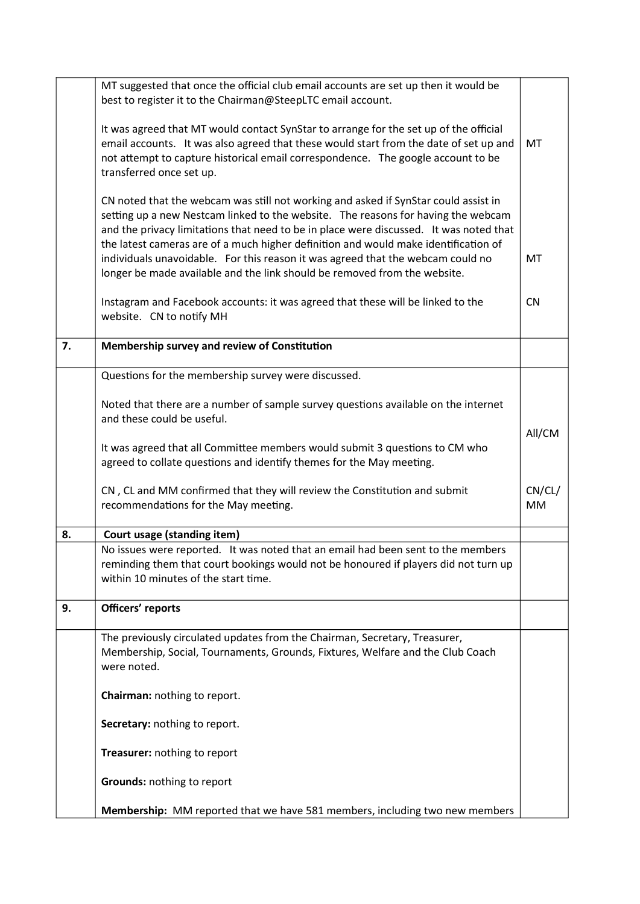|    | MT suggested that once the official club email accounts are set up then it would be                                                                                                                                                                                                                                                                                                                                                          |                     |  |
|----|----------------------------------------------------------------------------------------------------------------------------------------------------------------------------------------------------------------------------------------------------------------------------------------------------------------------------------------------------------------------------------------------------------------------------------------------|---------------------|--|
|    | best to register it to the Chairman@SteepLTC email account.                                                                                                                                                                                                                                                                                                                                                                                  |                     |  |
|    | It was agreed that MT would contact SynStar to arrange for the set up of the official<br>email accounts. It was also agreed that these would start from the date of set up and<br>not attempt to capture historical email correspondence. The google account to be<br>transferred once set up.                                                                                                                                               |                     |  |
|    | CN noted that the webcam was still not working and asked if SynStar could assist in<br>setting up a new Nestcam linked to the website. The reasons for having the webcam<br>and the privacy limitations that need to be in place were discussed. It was noted that<br>the latest cameras are of a much higher definition and would make identification of<br>individuals unavoidable. For this reason it was agreed that the webcam could no | MT                  |  |
|    | longer be made available and the link should be removed from the website.                                                                                                                                                                                                                                                                                                                                                                    |                     |  |
|    | Instagram and Facebook accounts: it was agreed that these will be linked to the<br>website. CN to notify MH                                                                                                                                                                                                                                                                                                                                  | <b>CN</b>           |  |
| 7. | Membership survey and review of Constitution                                                                                                                                                                                                                                                                                                                                                                                                 |                     |  |
|    | Questions for the membership survey were discussed.                                                                                                                                                                                                                                                                                                                                                                                          |                     |  |
|    |                                                                                                                                                                                                                                                                                                                                                                                                                                              |                     |  |
|    | Noted that there are a number of sample survey questions available on the internet<br>and these could be useful.                                                                                                                                                                                                                                                                                                                             |                     |  |
|    | It was agreed that all Committee members would submit 3 questions to CM who<br>agreed to collate questions and identify themes for the May meeting.                                                                                                                                                                                                                                                                                          | All/CM              |  |
|    | CN, CL and MM confirmed that they will review the Constitution and submit<br>recommendations for the May meeting.                                                                                                                                                                                                                                                                                                                            | CN/CL/<br><b>MM</b> |  |
| 8. | Court usage (standing item)                                                                                                                                                                                                                                                                                                                                                                                                                  |                     |  |
|    | No issues were reported. It was noted that an email had been sent to the members<br>reminding them that court bookings would not be honoured if players did not turn up<br>within 10 minutes of the start time.                                                                                                                                                                                                                              |                     |  |
| 9. | Officers' reports                                                                                                                                                                                                                                                                                                                                                                                                                            |                     |  |
|    | The previously circulated updates from the Chairman, Secretary, Treasurer,<br>Membership, Social, Tournaments, Grounds, Fixtures, Welfare and the Club Coach<br>were noted.                                                                                                                                                                                                                                                                  |                     |  |
|    | Chairman: nothing to report.                                                                                                                                                                                                                                                                                                                                                                                                                 |                     |  |
|    | Secretary: nothing to report.                                                                                                                                                                                                                                                                                                                                                                                                                |                     |  |
|    | Treasurer: nothing to report                                                                                                                                                                                                                                                                                                                                                                                                                 |                     |  |
|    | Grounds: nothing to report                                                                                                                                                                                                                                                                                                                                                                                                                   |                     |  |
|    | Membership: MM reported that we have 581 members, including two new members                                                                                                                                                                                                                                                                                                                                                                  |                     |  |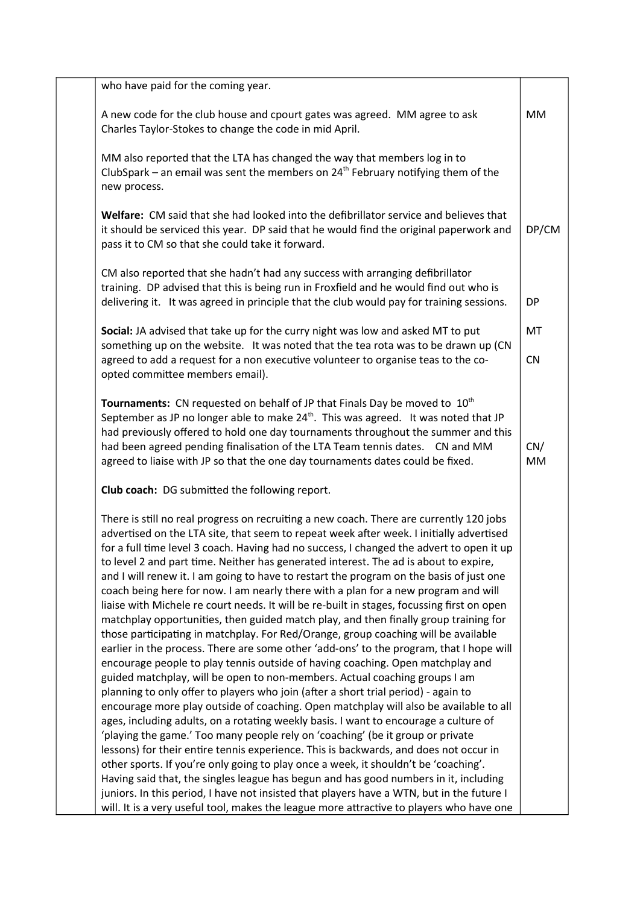| who have paid for the coming year.                                                                                                                                                                                                                                                                                                                                                                                                                                                                                                                                                                                                                                                                                                                                                                                                                                                                                                                                                                                                                                                                                                                                                                                                                                                                                                                                                                                                                                                                                                                                                                                                                                                                                                                                                                                                                                                                                       |           |
|--------------------------------------------------------------------------------------------------------------------------------------------------------------------------------------------------------------------------------------------------------------------------------------------------------------------------------------------------------------------------------------------------------------------------------------------------------------------------------------------------------------------------------------------------------------------------------------------------------------------------------------------------------------------------------------------------------------------------------------------------------------------------------------------------------------------------------------------------------------------------------------------------------------------------------------------------------------------------------------------------------------------------------------------------------------------------------------------------------------------------------------------------------------------------------------------------------------------------------------------------------------------------------------------------------------------------------------------------------------------------------------------------------------------------------------------------------------------------------------------------------------------------------------------------------------------------------------------------------------------------------------------------------------------------------------------------------------------------------------------------------------------------------------------------------------------------------------------------------------------------------------------------------------------------|-----------|
| A new code for the club house and cpourt gates was agreed. MM agree to ask<br>Charles Taylor-Stokes to change the code in mid April.                                                                                                                                                                                                                                                                                                                                                                                                                                                                                                                                                                                                                                                                                                                                                                                                                                                                                                                                                                                                                                                                                                                                                                                                                                                                                                                                                                                                                                                                                                                                                                                                                                                                                                                                                                                     | <b>MM</b> |
| MM also reported that the LTA has changed the way that members log in to<br>ClubSpark – an email was sent the members on $24th$ February notifying them of the<br>new process.                                                                                                                                                                                                                                                                                                                                                                                                                                                                                                                                                                                                                                                                                                                                                                                                                                                                                                                                                                                                                                                                                                                                                                                                                                                                                                                                                                                                                                                                                                                                                                                                                                                                                                                                           |           |
| Welfare: CM said that she had looked into the defibrillator service and believes that<br>it should be serviced this year. DP said that he would find the original paperwork and<br>pass it to CM so that she could take it forward.                                                                                                                                                                                                                                                                                                                                                                                                                                                                                                                                                                                                                                                                                                                                                                                                                                                                                                                                                                                                                                                                                                                                                                                                                                                                                                                                                                                                                                                                                                                                                                                                                                                                                      | DP/CM     |
| CM also reported that she hadn't had any success with arranging defibrillator<br>training. DP advised that this is being run in Froxfield and he would find out who is<br>delivering it. It was agreed in principle that the club would pay for training sessions.                                                                                                                                                                                                                                                                                                                                                                                                                                                                                                                                                                                                                                                                                                                                                                                                                                                                                                                                                                                                                                                                                                                                                                                                                                                                                                                                                                                                                                                                                                                                                                                                                                                       | DP        |
| Social: JA advised that take up for the curry night was low and asked MT to put                                                                                                                                                                                                                                                                                                                                                                                                                                                                                                                                                                                                                                                                                                                                                                                                                                                                                                                                                                                                                                                                                                                                                                                                                                                                                                                                                                                                                                                                                                                                                                                                                                                                                                                                                                                                                                          | MT        |
| something up on the website. It was noted that the tea rota was to be drawn up (CN<br>agreed to add a request for a non executive volunteer to organise teas to the co-<br>opted committee members email).                                                                                                                                                                                                                                                                                                                                                                                                                                                                                                                                                                                                                                                                                                                                                                                                                                                                                                                                                                                                                                                                                                                                                                                                                                                                                                                                                                                                                                                                                                                                                                                                                                                                                                               | CN        |
| Tournaments: CN requested on behalf of JP that Finals Day be moved to 10 <sup>th</sup><br>September as JP no longer able to make 24 <sup>th</sup> . This was agreed. It was noted that JP<br>had previously offered to hold one day tournaments throughout the summer and this<br>had been agreed pending finalisation of the LTA Team tennis dates. CN and MM<br>agreed to liaise with JP so that the one day tournaments dates could be fixed.                                                                                                                                                                                                                                                                                                                                                                                                                                                                                                                                                                                                                                                                                                                                                                                                                                                                                                                                                                                                                                                                                                                                                                                                                                                                                                                                                                                                                                                                         | CN/<br>MM |
| Club coach: DG submitted the following report.                                                                                                                                                                                                                                                                                                                                                                                                                                                                                                                                                                                                                                                                                                                                                                                                                                                                                                                                                                                                                                                                                                                                                                                                                                                                                                                                                                                                                                                                                                                                                                                                                                                                                                                                                                                                                                                                           |           |
| There is still no real progress on recruiting a new coach. There are currently 120 jobs<br>advertised on the LTA site, that seem to repeat week after week. I initially advertised<br>for a full time level 3 coach. Having had no success, I changed the advert to open it up<br>to level 2 and part time. Neither has generated interest. The ad is about to expire,<br>and I will renew it. I am going to have to restart the program on the basis of just one<br>coach being here for now. I am nearly there with a plan for a new program and will<br>liaise with Michele re court needs. It will be re-built in stages, focussing first on open<br>matchplay opportunities, then guided match play, and then finally group training for<br>those participating in matchplay. For Red/Orange, group coaching will be available<br>earlier in the process. There are some other 'add-ons' to the program, that I hope will<br>encourage people to play tennis outside of having coaching. Open matchplay and<br>guided matchplay, will be open to non-members. Actual coaching groups I am<br>planning to only offer to players who join (after a short trial period) - again to<br>encourage more play outside of coaching. Open matchplay will also be available to all<br>ages, including adults, on a rotating weekly basis. I want to encourage a culture of<br>'playing the game.' Too many people rely on 'coaching' (be it group or private<br>lessons) for their entire tennis experience. This is backwards, and does not occur in<br>other sports. If you're only going to play once a week, it shouldn't be 'coaching'.<br>Having said that, the singles league has begun and has good numbers in it, including<br>juniors. In this period, I have not insisted that players have a WTN, but in the future I<br>will. It is a very useful tool, makes the league more attractive to players who have one |           |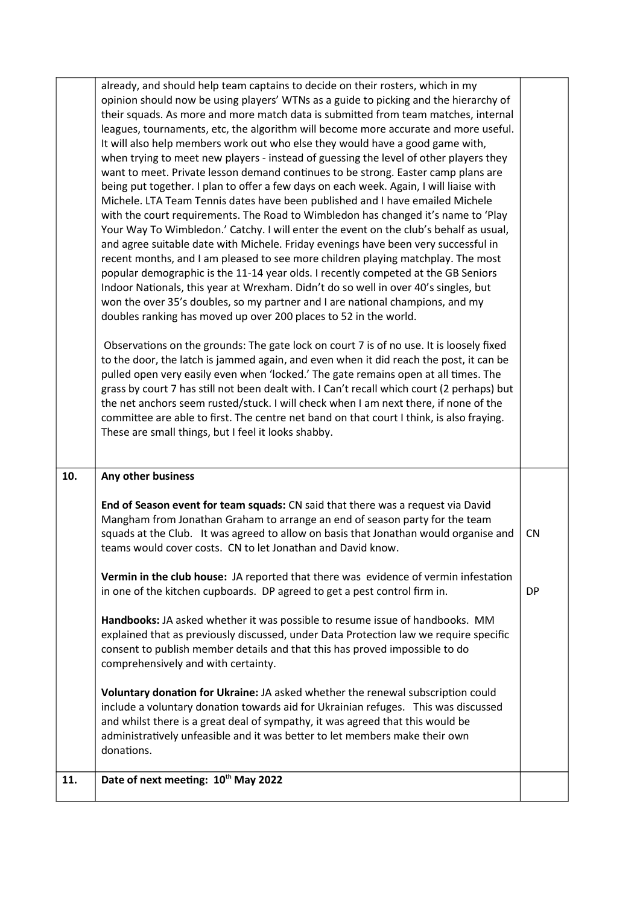|     | already, and should help team captains to decide on their rosters, which in my<br>opinion should now be using players' WTNs as a guide to picking and the hierarchy of<br>their squads. As more and more match data is submitted from team matches, internal<br>leagues, tournaments, etc, the algorithm will become more accurate and more useful.<br>It will also help members work out who else they would have a good game with,<br>when trying to meet new players - instead of guessing the level of other players they<br>want to meet. Private lesson demand continues to be strong. Easter camp plans are<br>being put together. I plan to offer a few days on each week. Again, I will liaise with<br>Michele. LTA Team Tennis dates have been published and I have emailed Michele<br>with the court requirements. The Road to Wimbledon has changed it's name to 'Play<br>Your Way To Wimbledon.' Catchy. I will enter the event on the club's behalf as usual,<br>and agree suitable date with Michele. Friday evenings have been very successful in<br>recent months, and I am pleased to see more children playing matchplay. The most<br>popular demographic is the 11-14 year olds. I recently competed at the GB Seniors<br>Indoor Nationals, this year at Wrexham. Didn't do so well in over 40's singles, but<br>won the over 35's doubles, so my partner and I are national champions, and my<br>doubles ranking has moved up over 200 places to 52 in the world.<br>Observations on the grounds: The gate lock on court 7 is of no use. It is loosely fixed<br>to the door, the latch is jammed again, and even when it did reach the post, it can be<br>pulled open very easily even when 'locked.' The gate remains open at all times. The<br>grass by court 7 has still not been dealt with. I Can't recall which court (2 perhaps) but<br>the net anchors seem rusted/stuck. I will check when I am next there, if none of the<br>committee are able to first. The centre net band on that court I think, is also fraying.<br>These are small things, but I feel it looks shabby. |           |
|-----|-------------------------------------------------------------------------------------------------------------------------------------------------------------------------------------------------------------------------------------------------------------------------------------------------------------------------------------------------------------------------------------------------------------------------------------------------------------------------------------------------------------------------------------------------------------------------------------------------------------------------------------------------------------------------------------------------------------------------------------------------------------------------------------------------------------------------------------------------------------------------------------------------------------------------------------------------------------------------------------------------------------------------------------------------------------------------------------------------------------------------------------------------------------------------------------------------------------------------------------------------------------------------------------------------------------------------------------------------------------------------------------------------------------------------------------------------------------------------------------------------------------------------------------------------------------------------------------------------------------------------------------------------------------------------------------------------------------------------------------------------------------------------------------------------------------------------------------------------------------------------------------------------------------------------------------------------------------------------------------------------------------------------------------------------------------------------------------------------------------|-----------|
| 10. | Any other business                                                                                                                                                                                                                                                                                                                                                                                                                                                                                                                                                                                                                                                                                                                                                                                                                                                                                                                                                                                                                                                                                                                                                                                                                                                                                                                                                                                                                                                                                                                                                                                                                                                                                                                                                                                                                                                                                                                                                                                                                                                                                          |           |
|     | End of Season event for team squads: CN said that there was a request via David<br>Mangham from Jonathan Graham to arrange an end of season party for the team<br>squads at the Club. It was agreed to allow on basis that Jonathan would organise and<br>teams would cover costs. CN to let Jonathan and David know.                                                                                                                                                                                                                                                                                                                                                                                                                                                                                                                                                                                                                                                                                                                                                                                                                                                                                                                                                                                                                                                                                                                                                                                                                                                                                                                                                                                                                                                                                                                                                                                                                                                                                                                                                                                       | <b>CN</b> |
|     | Vermin in the club house: JA reported that there was evidence of vermin infestation<br>in one of the kitchen cupboards. DP agreed to get a pest control firm in.                                                                                                                                                                                                                                                                                                                                                                                                                                                                                                                                                                                                                                                                                                                                                                                                                                                                                                                                                                                                                                                                                                                                                                                                                                                                                                                                                                                                                                                                                                                                                                                                                                                                                                                                                                                                                                                                                                                                            | <b>DP</b> |
|     | Handbooks: JA asked whether it was possible to resume issue of handbooks. MM<br>explained that as previously discussed, under Data Protection law we require specific<br>consent to publish member details and that this has proved impossible to do<br>comprehensively and with certainty.                                                                                                                                                                                                                                                                                                                                                                                                                                                                                                                                                                                                                                                                                                                                                                                                                                                                                                                                                                                                                                                                                                                                                                                                                                                                                                                                                                                                                                                                                                                                                                                                                                                                                                                                                                                                                 |           |
|     | Voluntary donation for Ukraine: JA asked whether the renewal subscription could<br>include a voluntary donation towards aid for Ukrainian refuges. This was discussed<br>and whilst there is a great deal of sympathy, it was agreed that this would be<br>administratively unfeasible and it was better to let members make their own<br>donations.                                                                                                                                                                                                                                                                                                                                                                                                                                                                                                                                                                                                                                                                                                                                                                                                                                                                                                                                                                                                                                                                                                                                                                                                                                                                                                                                                                                                                                                                                                                                                                                                                                                                                                                                                        |           |
| 11. | Date of next meeting: 10th May 2022                                                                                                                                                                                                                                                                                                                                                                                                                                                                                                                                                                                                                                                                                                                                                                                                                                                                                                                                                                                                                                                                                                                                                                                                                                                                                                                                                                                                                                                                                                                                                                                                                                                                                                                                                                                                                                                                                                                                                                                                                                                                         |           |